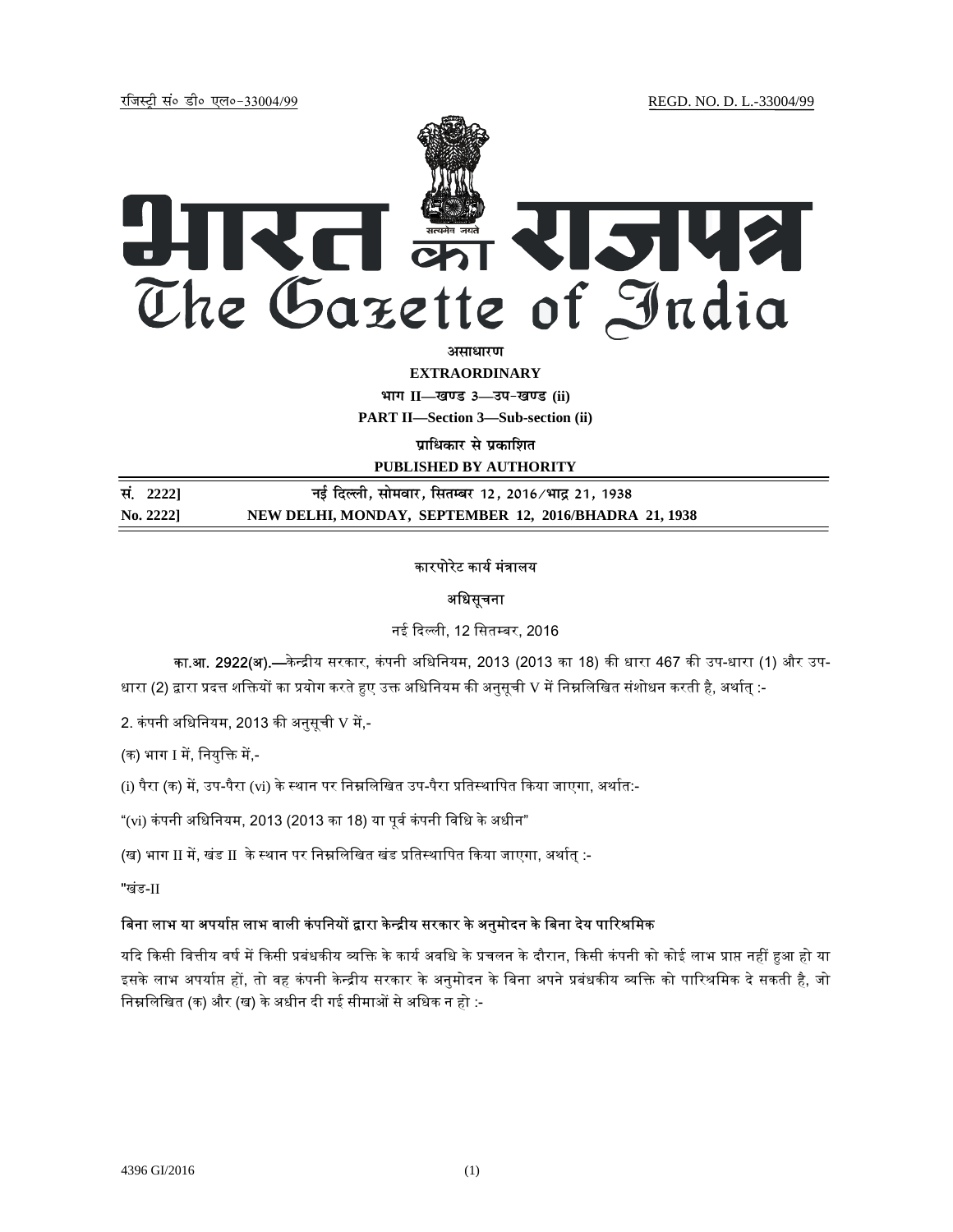jftLVªh laö Mhö ,yö&33004@99 REGD. NO. D. L.-33004/99



असाधार**ण** 

**EXTRAORDINARY**

**Hkkx II—[k.M 3—mi&[k.M (ii)**

**PART II—Section 3—Sub-section (ii)** 

**पाधिकार से प्रकाशित** 

**PUBLISHED BY AUTHORITY**

| सं. 2222] | नई दिल्ली, सोमवार, सितम्बर 12, 2016 ∕भाद्र 21, 1938   |
|-----------|-------------------------------------------------------|
| No. 22221 | NEW DELHI, MONDAY, SEPTEMBER 12, 2016/BHADRA 21, 1938 |

# कारपोरेट कार्य मंत्रालय

# अिधसूचना

नई दिल्ली, 12 सितम्बर, 2016

का.<mark>आ. 2922(अ).—</mark>केन्द्रीय सरकार, कंपनी अधिनियम, 2013 (2013 का 18) की धारा 467 की उप-धारा (1) और उप-धारा (2) द्वारा प्रदत्त शक्तियों का प्रयोग करते हुए उक्त अधिनियम की अनुसूची V में निम्नलिखित संशोधन करती है, अर्थात् :-

2. कंपनी अधिनियम, 2013 की अनुसूची V में,-

(क) भाग I में, नियुक्ति में,-

(i) पैरा (क) में, उप-पैरा (vi) के स्थान पर निम्नलिखित उप-पैरा प्रतिस्थापित किया जाएगा, अर्थात:-

"(vi) कंपनी अधिनियम, 2013 (2013 का 18) या पूर्व कंपनी विधि के अधीन"

(ख) भाग II में, खंड II के स्थान पर निम्नलिखित खंड प्रतिस्थापित किया जाएगा, अर्थात् :-

"खंड-II

# बिना लाभ या अपर्याप्त लाभ वाली कंपनियों द्वारा केन्द्रीय सरकार के अनुमोदन के बिना देय पारिश्रमिक

यदि किसी वित्तीय वर्ष में किसी प्रबंधकीय व्यक्ति के कार्य अवधि के प्रचलन के दौरान, किसी कंपनी को कोई लाभ प्राप्त नहीं हुआ हो या इसके लाभ अपर्याप्त हों, तो वह कंपनी केन्द्रीय सरकार के अनुमोदन के बिना अपने प्रबंधकीय व्यक्ति को पारिश्रमिक दे सकती है, जो निम्नलिखित (क) और (ख) के अधीन दी गई सीमाओं से अधिक न हो :-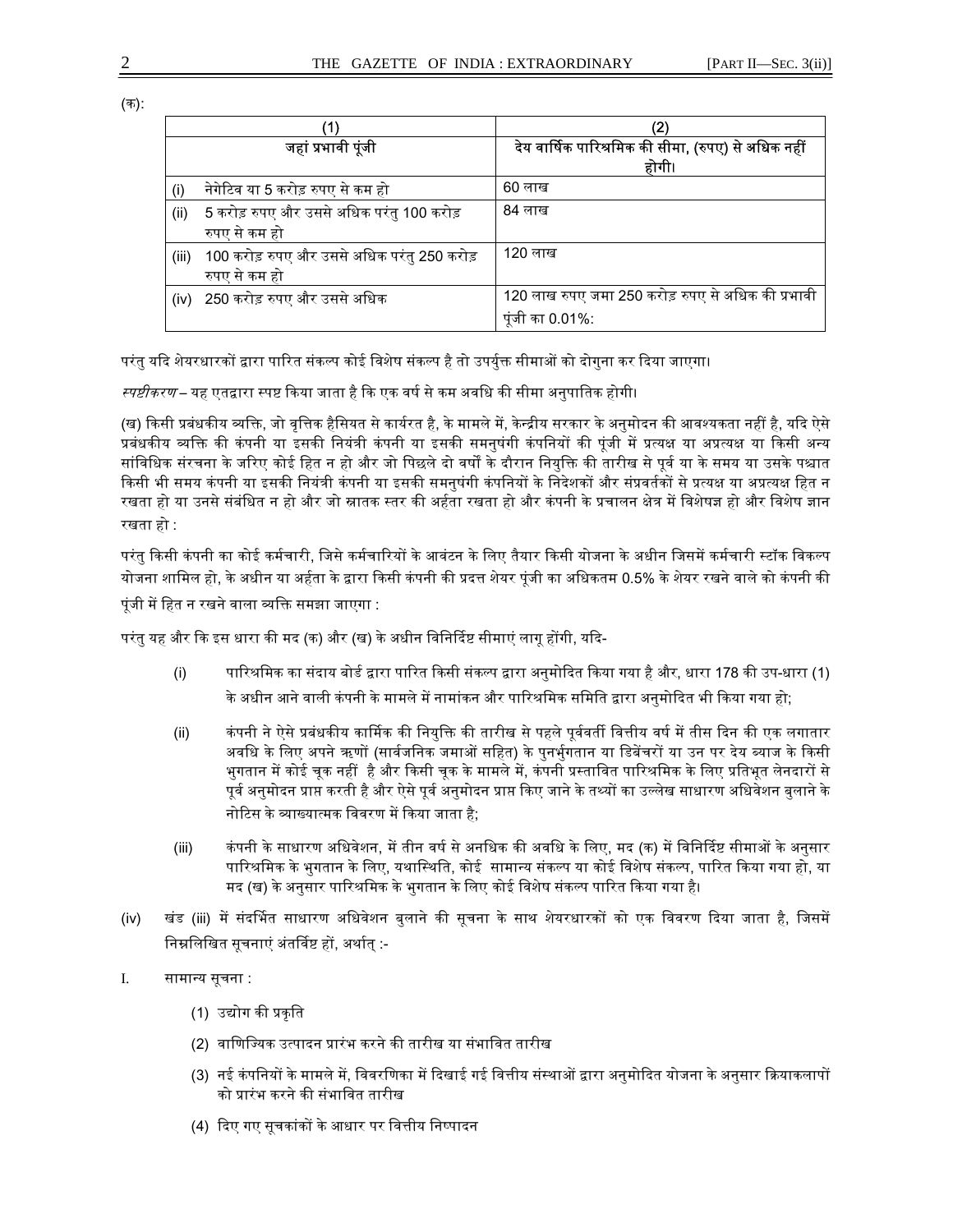(क):

|       | जहां प्रभावी पूंजी                          | देय वार्षिक पारिश्रमिक की सीमा, (रुपए) से अधिक नहीं |
|-------|---------------------------------------------|-----------------------------------------------------|
|       |                                             | होगी।                                               |
| (i)   | नेगेटिव या 5 करोड़ रुपए से कम हो            | 60 लाख                                              |
| (ii)  | 5 करोड़ रुपए और उससे अधिक परंतु 100 करोड़   | 84 लाख                                              |
|       | रुपए से कम हो                               |                                                     |
| (iii) | 100 करोड़ रुपए और उससे अधिक परंतु 250 करोड़ | 120 लाख                                             |
|       | रुपए से कम हो                               |                                                     |
| (iv)  | 250 करोड़ रुपए और उससे अधिक                 | 120 लाख रुपए जमा 250 करोड़ रुपए से अधिक की प्रभावी  |
|       |                                             | पुंजी का 0.01%:                                     |

परंतु यदि शेयरधारकों द्वारा पारित संकल्प कोई विशेष संकल्प है तो उपर्युक्त सीमाओं को दोगुना कर दिया जाएगा।

*स्पष्टीकरण* – यह एतद्वारा स्पष्ट किया जाता है कि एक वर्ष से कम अवधि की सीमा अनुपातिक होगी।

(ख) किसी प्रबंधकीय व्यक्ति, जो वृत्तिक हैसियत से कार्यरत है, के मामले में, केन्द्रीय सरकार के अनुमोदन की आवश्यकता नहीं है, यदि ऐसे प्रबंधकीय व्यक्ति की कंपनी या इसकी नियंत्री कंपनी या इसकी समनुषंगी कंपनियों की पूंजी में प्रत्यक्ष या अप्रत्यक्ष या किसी अन्य सांविधिक संरचना के जरिए कोई हित न हो और जो पिछले दो वर्षों के दौरान नियुक्ति की तारीख से पूर्व या के समय या उसके पश्चात किसी भी समय कंपनी या इसकी नियंत्री कंपनी या इसकी समनुषंगी कंपनियों के निदेशकों और संप्रवर्तकों से प्रत्यक्ष या अप्रत्यक्ष हित न रखता हो या उनसे संबंधित न हो और जो स्नातक स्तर की अर्हता रखता हो और कंपनी के प्रचालन क्षेत्र में विशेषज्ञ हो और विशेष ज्ञान रखता हो :

परंतु किसी कंपनी का कोई कर्मचारी, जिसे कर्मचारियों के आवंटन के लिए तैयार किसी योजना के अधीन जिसमें कर्मचारी स्टॉक विकल्प योजना शामिल हो, के अधीन या अर्हता के द्वारा किसी कंपनी की प्रदत्त शेयर पंजी का अधिकतम 0.5% के शेयर रखने वाले को कंपनी की पूंजी में हित न रखने वाला व्यक्ति समझा जाएगा :

परंतु यह और कि इस धारा की मद (क) और (ख) के अधीन विनिर्दिष्ट सीमाएं लागू होंगी, यदि-

- (i) पारिश्रमिक का संदाय बोर्ड द्वारा पारित किसी संकल्प द्वारा अनुमोदित किया गया है और, धारा 178 की उप-धारा (1) के अधीन आने वाली कंपनी के मामले में नामांकन और पारिश्रमिक समिति द्वारा अनुमोदित भी किया गया हो;
- (ii) कंपनी ने ऐसे प्रबंधकीय कार्मिक की नियुक्ति की तारीख से पहले पूर्ववर्ती वित्तीय वर्ष में तीस दिन की एक लगातार अवधि के लिए अपने ऋणों (सार्वजनिक जमाओं सहित) के पुनर्भुगतान या डिबेंचरों या उन पर देय ब्याज के किसी भुगतान में कोई चुक नहीं है और किसी चुक के मामले में, कंपनी प्रस्तावित पारिश्रमिक के लिए प्रतिभूत लेनदारों से पूर्व अनुमोदन प्राप्त करती है और ऐसे पूर्व अनुमोदन प्राप्त किए जाने के तथ्यों का उल्लेख साधारण अधिवेशन बुलाने के नोटिस के व्याख्यात्मक विवरण में किया जाता है;
- (iii) कंपनी के साधारण अधिवेशन, में तीन वर्ष से अनधिक की अवधि के लिए, मद (क) में विनिर्दिष्ट सीमाओं के अनुसार पारिश्रमिक के भुगतान के लिए, यथास्थिति, कोई सामान्य संकल्प या कोई विशेष संकल्प, पारित किया गया हो, या मद (ख) के अनुसार पारिश्रमिक के भुगतान के लिए कोई विशेष संकल्प पारित किया गया है।
- (iv) खंड (iii) में संदर्भित साधारण अधिवेशन बुलाने की सूचना के साथ शेयरधारकों को एक विवरण दिया जाता है, जिसमें निम्नलिखित सूचनाएं अंतर्विष्ट हों, अर्थात् :-
- I. सामा᭠य सूचना :
	- (1) उद्योग की प्रकृति
	- (2) वाणिज्यिक उत्पादन प्रारंभ करने की तारीख या संभावित तारीख
	- (3) नई कंपनियों के मामले में, विवरणिका में दिखाई गई वित्तीय संस्थाओं द्वारा अनुमोदित योजना के अनुसार क्रियाकलापों को प्रारंभ करने की संभावित तारीख
	- (4) दिए गए सूचकांकों के आधार पर वित्तीय निष्पादन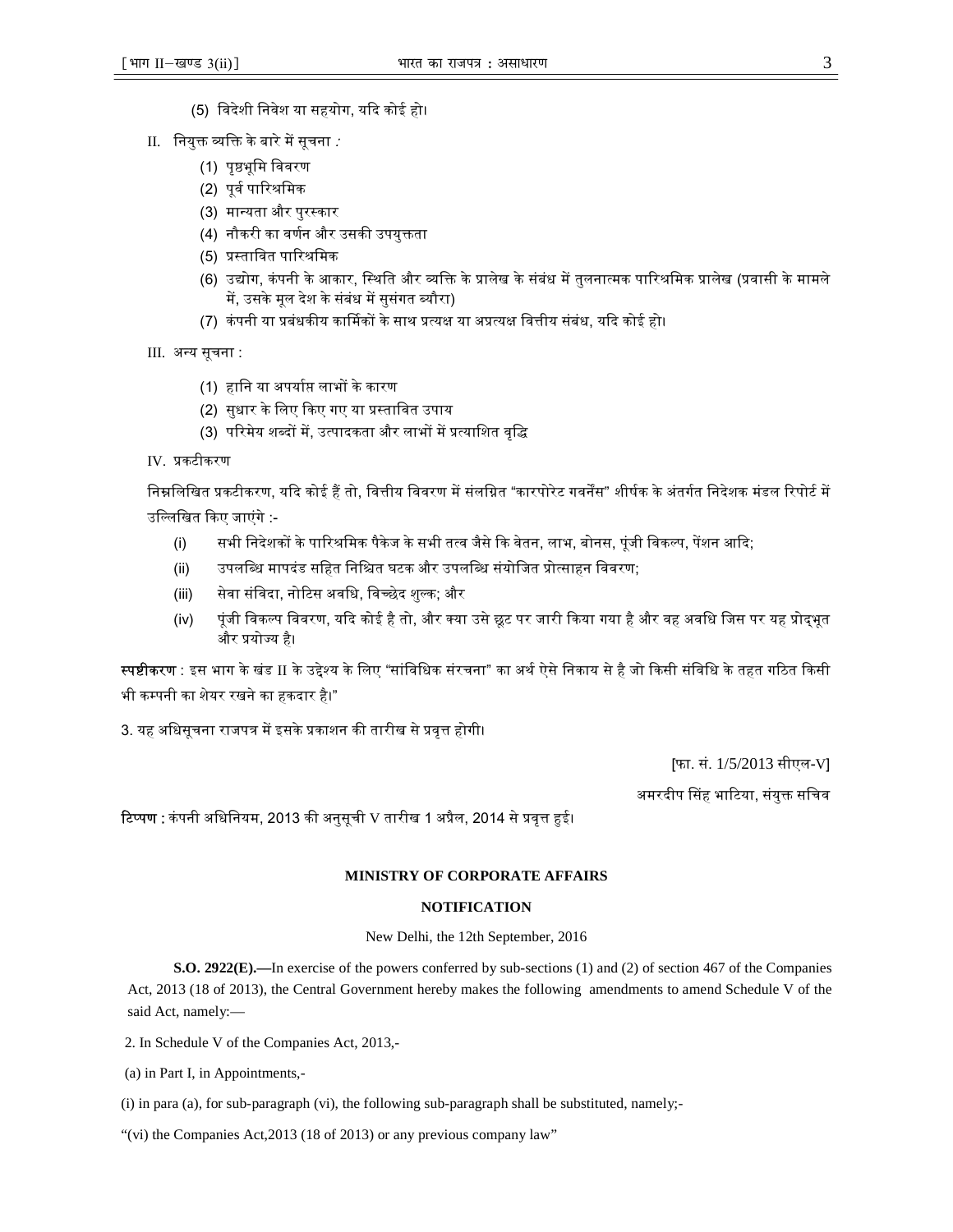- (5) िवदेशी िनवेश या सहयोग, यᳰद कोई हो।
- $II.$  नियुक्त व्यक्ति के बारे में सूचना :
	- (1) पृष्ठभूमि विवरण
	- (2) पूर्व पारिश्रमिक
	- (3) मा᭠यता और पुर᭭कार
	- (4) नौकरी का वर्णन और उसकी उपयुक्तता
	- (5) प्रस्तावित पारिश्रमिक
	- (6) उद्योग, कंपनी के आकार, स्थिति और व्यक्ति के प्रालेख के संबंध में तुलनात्मक पारिश्रमिक प्रालेख (प्रवासी के मामले में, उसके मूल देश के संबंध में सुसंगत ब्यौरा)
	- (7) कंपनी या प्रबंधकीय कार्मिकों के साथ प्रत्यक्ष या अप्रत्यक्ष वित्तीय संबंध, यदि कोई हो।

III. अन्य सूचना :

- (1) हािन या अपयाᭅ᳙ लाभᲂ के कारण
- (2) सुधार के लिए किए गए या प्रस्तावित उपाय
- (3) परिमेय शब्दों में, उत्पादकता और लाभों में प्रत्याशित वृद्धि
- IV. ᮧकटीकरण

निम्नलिखित प्रकटीकरण, यदि कोई हैं तो, वित्तीय विवरण में संलग्नित "कारपोरेट गवर्नेंस" शीर्षक के अंतर्गत निदेशक मंडल रिपोर्ट में उल्लिखित किए जाएंगे :-

- (i) सभी निदेशकों के पारिश्रमिक पैकेज के सभी तत्व जैसे कि वेतन, लाभ, बोनस, पूंजी विकल्प, पेंशन आदि;
- (ii) उपलि᭣ध मापदंड सिहत िनि᳟त घटक और उपलि᭣ध संयोिजत ᮧो᭜साहन िववरण;
- (iii) सेवा संविदा, नोटिस अवधि, विच्छेद शुल्क; और
- (iv) पूंजी विकल्प विवरण, यदि कोई है तो, और क्या उसे छूट पर जारी किया गया है और वह अवधि जिस पर यह प्रोदभूत और प्रयोज्य है।

स्पष्टीकरण : इस भाग के खंड II के उद्देश्य के लिए "सांविधिक संरचना" का अर्थ ऐसे निकाय से है जो किसी संविधि के तहत गठित किसी भी कम्पनी का शेयर रखने का हकदार है।"

3. यह अधिसूचना राजपत्र में इसके प्रकाशन की तारीख से प्रवृत्त होगी।

[फा. सं. 1/5/2013 सीएल-V]

अमरदीप सिंह भाटिया, संयुक्त सचिव

टिप्पण : कंपनी अधिनियम, 2013 की अनुसूची V तारीख 1 अप्रैल, 2014 से प्रवृत्त हुई।

### **MINISTRY OF CORPORATE AFFAIRS**

## **NOTIFICATION**

New Delhi, the 12th September, 2016

**S.O. 2922(E).—**In exercise of the powers conferred by sub-sections (1) and (2) of section 467 of the Companies Act, 2013 (18 of 2013), the Central Government hereby makes the following amendments to amend Schedule V of the said Act, namely:—

2. In Schedule V of the Companies Act, 2013,-

(a) in Part I, in Appointments,-

(i) in para (a), for sub-paragraph (vi), the following sub-paragraph shall be substituted, namely;-

"(vi) the Companies Act,2013 (18 of 2013) or any previous company law"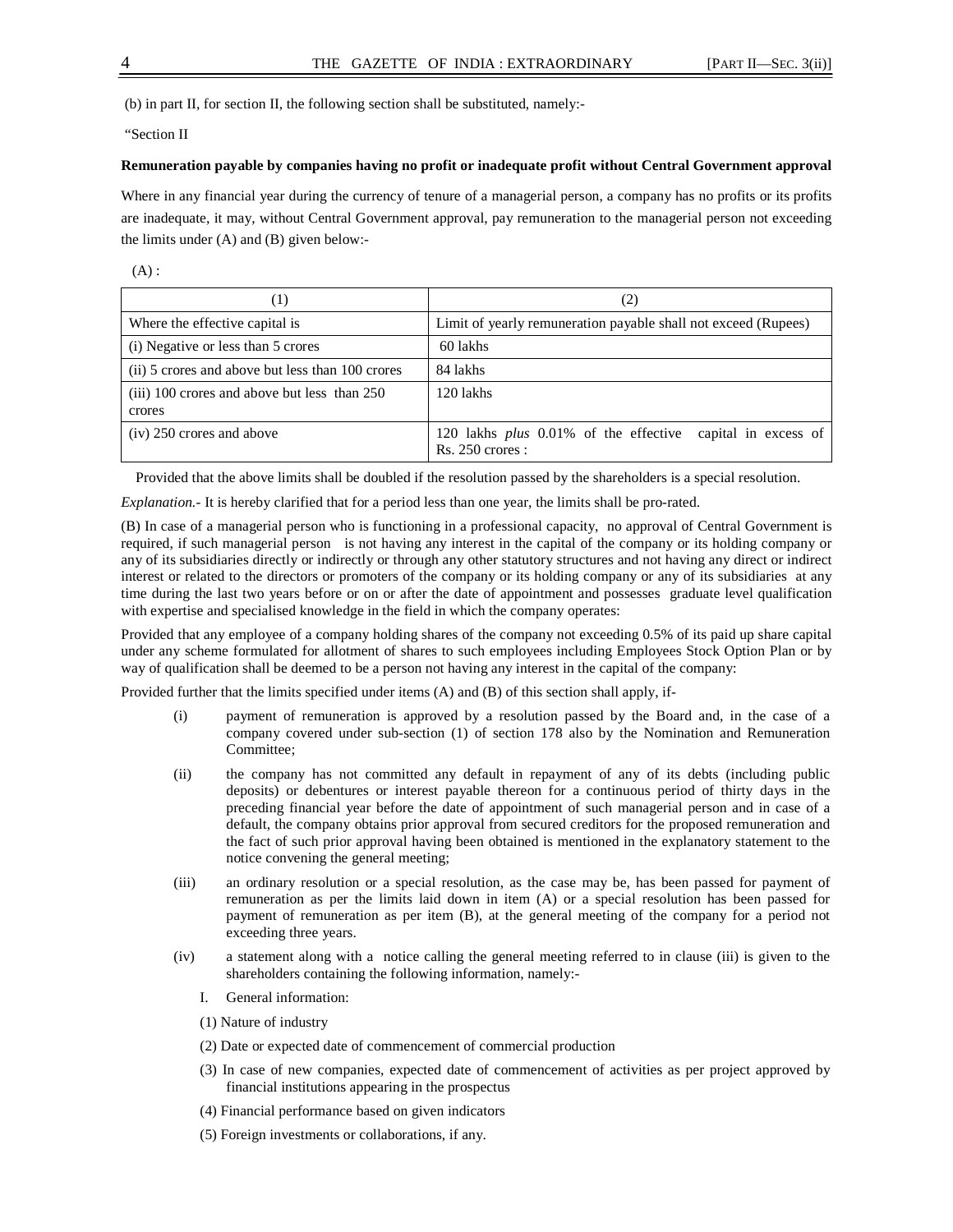(b) in part II, for section II, the following section shall be substituted, namely:-

"Section II

#### **Remuneration payable by companies having no profit or inadequate profit without Central Government approval**

Where in any financial year during the currency of tenure of a managerial person, a company has no profits or its profits are inadequate, it may, without Central Government approval, pay remuneration to the managerial person not exceeding the limits under (A) and (B) given below:-

 $(A)$ :

| (1)                                                    | (2)                                                                                     |
|--------------------------------------------------------|-----------------------------------------------------------------------------------------|
| Where the effective capital is                         | Limit of yearly remuneration payable shall not exceed (Rupees)                          |
| (i) Negative or less than 5 crores                     | 60 lakhs                                                                                |
| (ii) 5 crores and above but less than 100 crores       | 84 lakhs                                                                                |
| (iii) 100 crores and above but less than 250<br>crores | $120$ lakhs                                                                             |
| (iv) 250 crores and above                              | 120 lakhs <i>plus</i> 0.01% of the effective capital in excess of<br>$Rs. 250$ crores : |

Provided that the above limits shall be doubled if the resolution passed by the shareholders is a special resolution.

*Explanation.-* It is hereby clarified that for a period less than one year, the limits shall be pro-rated.

(B) In case of a managerial person who is functioning in a professional capacity, no approval of Central Government is required, if such managerial person is not having any interest in the capital of the company or its holding company or any of its subsidiaries directly or indirectly or through any other statutory structures and not having any direct or indirect interest or related to the directors or promoters of the company or its holding company or any of its subsidiaries at any time during the last two years before or on or after the date of appointment and possesses graduate level qualification with expertise and specialised knowledge in the field in which the company operates:

Provided that any employee of a company holding shares of the company not exceeding 0.5% of its paid up share capital under any scheme formulated for allotment of shares to such employees including Employees Stock Option Plan or by way of qualification shall be deemed to be a person not having any interest in the capital of the company:

Provided further that the limits specified under items (A) and (B) of this section shall apply, if-

- (i) payment of remuneration is approved by a resolution passed by the Board and, in the case of a company covered under sub-section (1) of section 178 also by the Nomination and Remuneration Committee;
- (ii) the company has not committed any default in repayment of any of its debts (including public deposits) or debentures or interest payable thereon for a continuous period of thirty days in the preceding financial year before the date of appointment of such managerial person and in case of a default, the company obtains prior approval from secured creditors for the proposed remuneration and the fact of such prior approval having been obtained is mentioned in the explanatory statement to the notice convening the general meeting;
- (iii) an ordinary resolution or a special resolution, as the case may be, has been passed for payment of remuneration as per the limits laid down in item (A) or a special resolution has been passed for payment of remuneration as per item (B), at the general meeting of the company for a period not exceeding three years.
- (iv) a statement along with a notice calling the general meeting referred to in clause (iii) is given to the shareholders containing the following information, namely:-
	- I. General information:
	- (1) Nature of industry
	- (2) Date or expected date of commencement of commercial production
	- (3) In case of new companies, expected date of commencement of activities as per project approved by financial institutions appearing in the prospectus
	- (4) Financial performance based on given indicators
	- (5) Foreign investments or collaborations, if any.